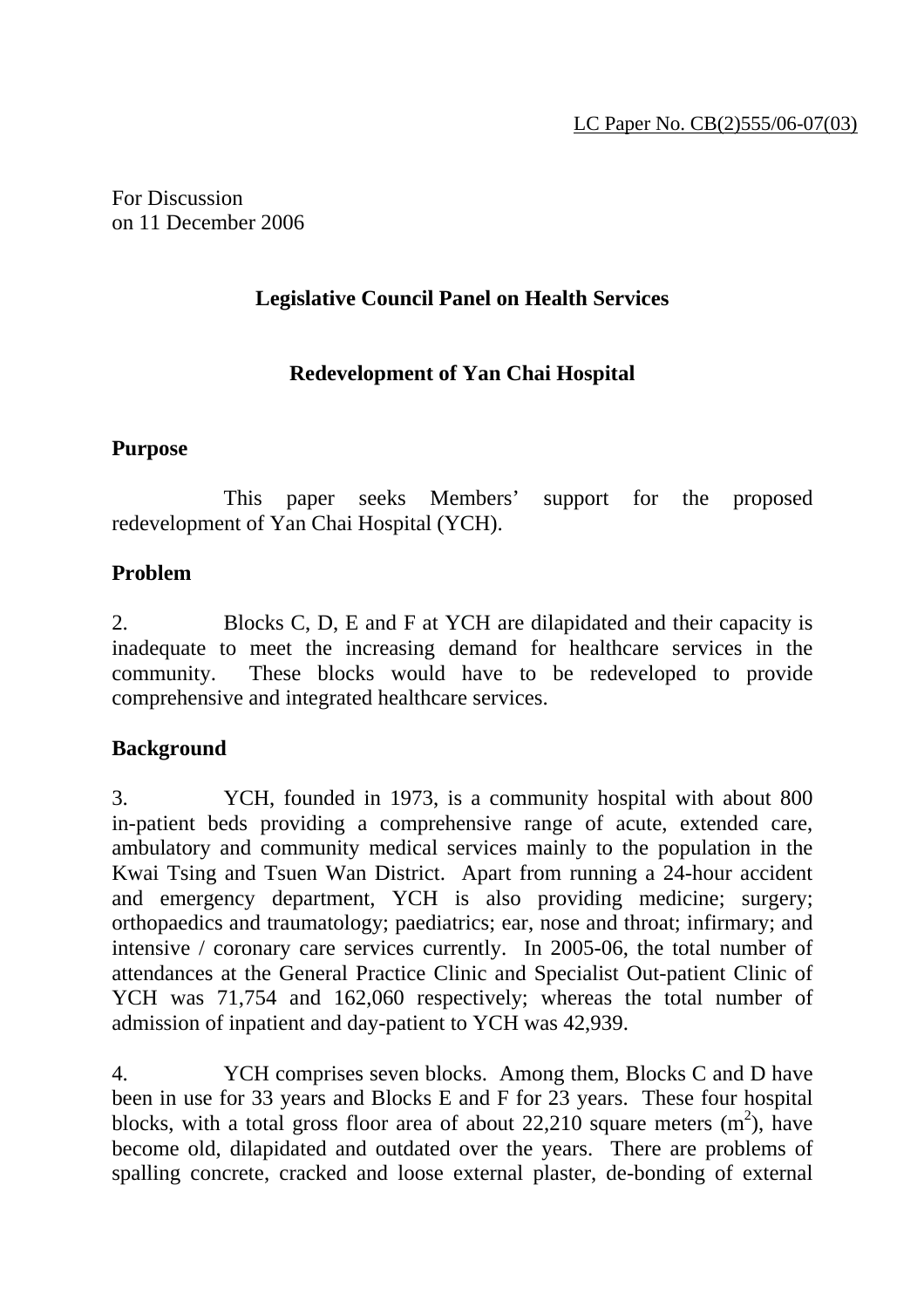For Discussion on 11 December 2006

# **Legislative Council Panel on Health Services**

#### **Redevelopment of Yan Chai Hospital**

#### **Purpose**

 This paper seeks Members' support for the proposed redevelopment of Yan Chai Hospital (YCH).

#### **Problem**

2. Blocks C, D, E and F at YCH are dilapidated and their capacity is inadequate to meet the increasing demand for healthcare services in the community. These blocks would have to be redeveloped to provide comprehensive and integrated healthcare services.

#### **Background**

3. YCH, founded in 1973, is a community hospital with about 800 in-patient beds providing a comprehensive range of acute, extended care, ambulatory and community medical services mainly to the population in the Kwai Tsing and Tsuen Wan District. Apart from running a 24-hour accident and emergency department, YCH is also providing medicine; surgery; orthopaedics and traumatology; paediatrics; ear, nose and throat; infirmary; and intensive / coronary care services currently. In 2005-06, the total number of attendances at the General Practice Clinic and Specialist Out-patient Clinic of YCH was 71,754 and 162,060 respectively; whereas the total number of admission of inpatient and day-patient to YCH was 42,939.

4. YCH comprises seven blocks. Among them, Blocks C and D have been in use for 33 years and Blocks E and F for 23 years. These four hospital blocks, with a total gross floor area of about 22,210 square meters  $(m^2)$ , have become old, dilapidated and outdated over the years. There are problems of spalling concrete, cracked and loose external plaster, de-bonding of external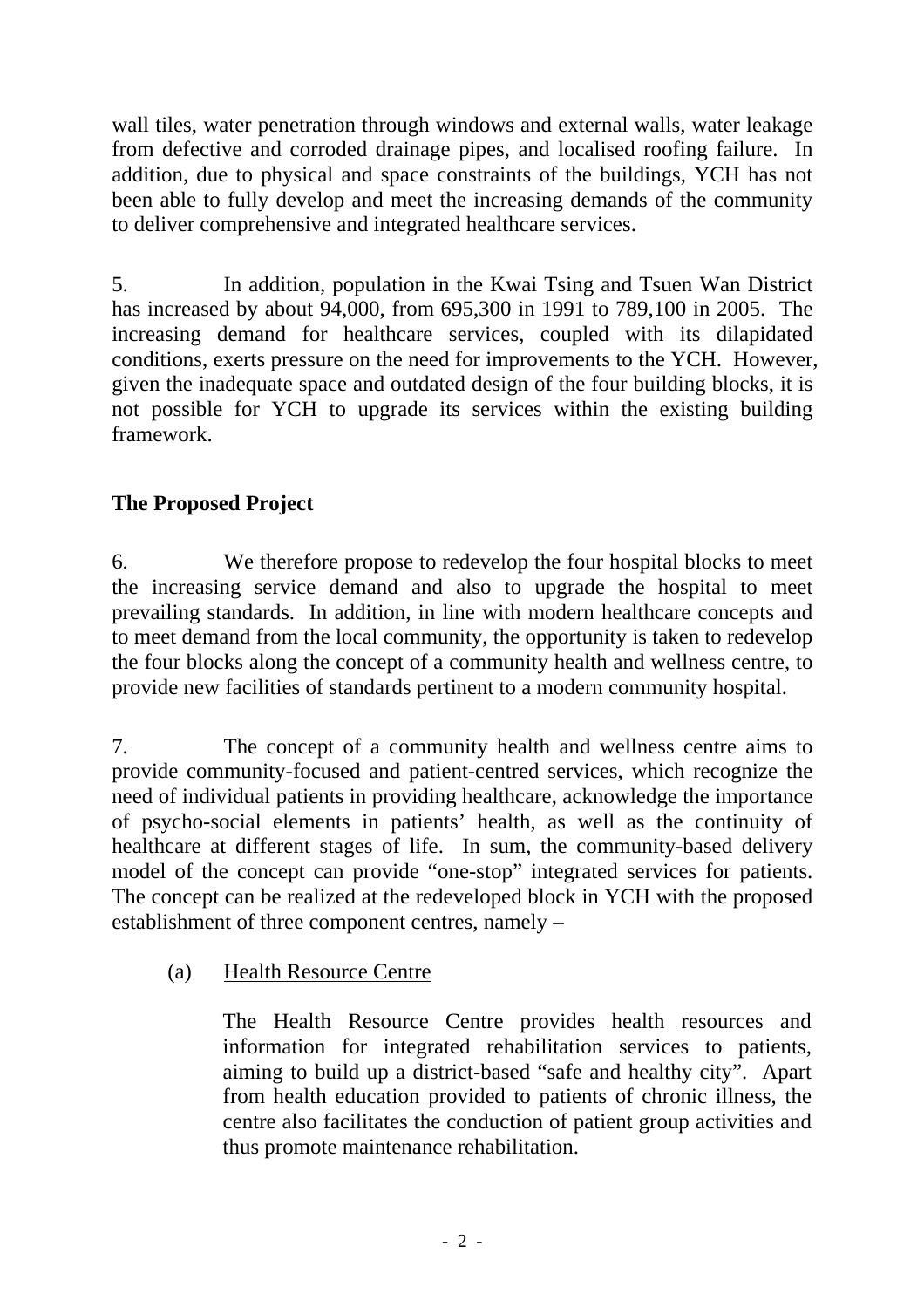wall tiles, water penetration through windows and external walls, water leakage from defective and corroded drainage pipes, and localised roofing failure. In addition, due to physical and space constraints of the buildings, YCH has not been able to fully develop and meet the increasing demands of the community to deliver comprehensive and integrated healthcare services.

5. In addition, population in the Kwai Tsing and Tsuen Wan District has increased by about 94,000, from 695,300 in 1991 to 789,100 in 2005. The increasing demand for healthcare services, coupled with its dilapidated conditions, exerts pressure on the need for improvements to the YCH. However, given the inadequate space and outdated design of the four building blocks, it is not possible for YCH to upgrade its services within the existing building framework.

# **The Proposed Project**

6. We therefore propose to redevelop the four hospital blocks to meet the increasing service demand and also to upgrade the hospital to meet prevailing standards. In addition, in line with modern healthcare concepts and to meet demand from the local community, the opportunity is taken to redevelop the four blocks along the concept of a community health and wellness centre, to provide new facilities of standards pertinent to a modern community hospital.

7. The concept of a community health and wellness centre aims to provide community-focused and patient-centred services, which recognize the need of individual patients in providing healthcare, acknowledge the importance of psycho-social elements in patients' health, as well as the continuity of healthcare at different stages of life. In sum, the community-based delivery model of the concept can provide "one-stop" integrated services for patients. The concept can be realized at the redeveloped block in YCH with the proposed establishment of three component centres, namely –

# (a) Health Resource Centre

The Health Resource Centre provides health resources and information for integrated rehabilitation services to patients, aiming to build up a district-based "safe and healthy city". Apart from health education provided to patients of chronic illness, the centre also facilitates the conduction of patient group activities and thus promote maintenance rehabilitation.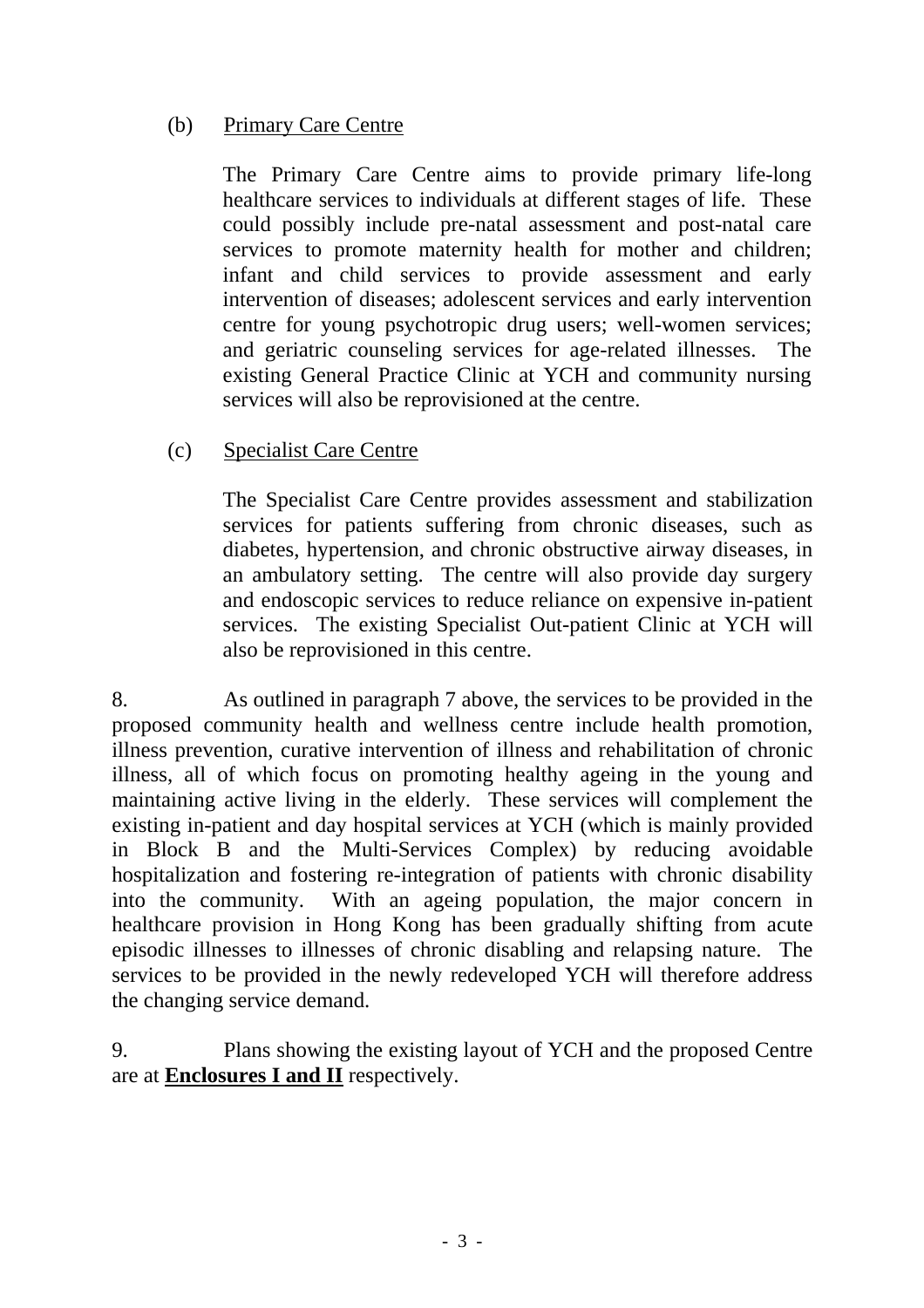#### (b) Primary Care Centre

The Primary Care Centre aims to provide primary life-long healthcare services to individuals at different stages of life. These could possibly include pre-natal assessment and post-natal care services to promote maternity health for mother and children; infant and child services to provide assessment and early intervention of diseases; adolescent services and early intervention centre for young psychotropic drug users; well-women services; and geriatric counseling services for age-related illnesses. The existing General Practice Clinic at YCH and community nursing services will also be reprovisioned at the centre.

#### (c) Specialist Care Centre

The Specialist Care Centre provides assessment and stabilization services for patients suffering from chronic diseases, such as diabetes, hypertension, and chronic obstructive airway diseases, in an ambulatory setting. The centre will also provide day surgery and endoscopic services to reduce reliance on expensive in-patient services. The existing Specialist Out-patient Clinic at YCH will also be reprovisioned in this centre.

8. As outlined in paragraph 7 above, the services to be provided in the proposed community health and wellness centre include health promotion, illness prevention, curative intervention of illness and rehabilitation of chronic illness, all of which focus on promoting healthy ageing in the young and maintaining active living in the elderly. These services will complement the existing in-patient and day hospital services at YCH (which is mainly provided in Block B and the Multi-Services Complex) by reducing avoidable hospitalization and fostering re-integration of patients with chronic disability into the community. With an ageing population, the major concern in healthcare provision in Hong Kong has been gradually shifting from acute episodic illnesses to illnesses of chronic disabling and relapsing nature. The services to be provided in the newly redeveloped YCH will therefore address the changing service demand.

9. Plans showing the existing layout of YCH and the proposed Centre are at **Enclosures I and II** respectively.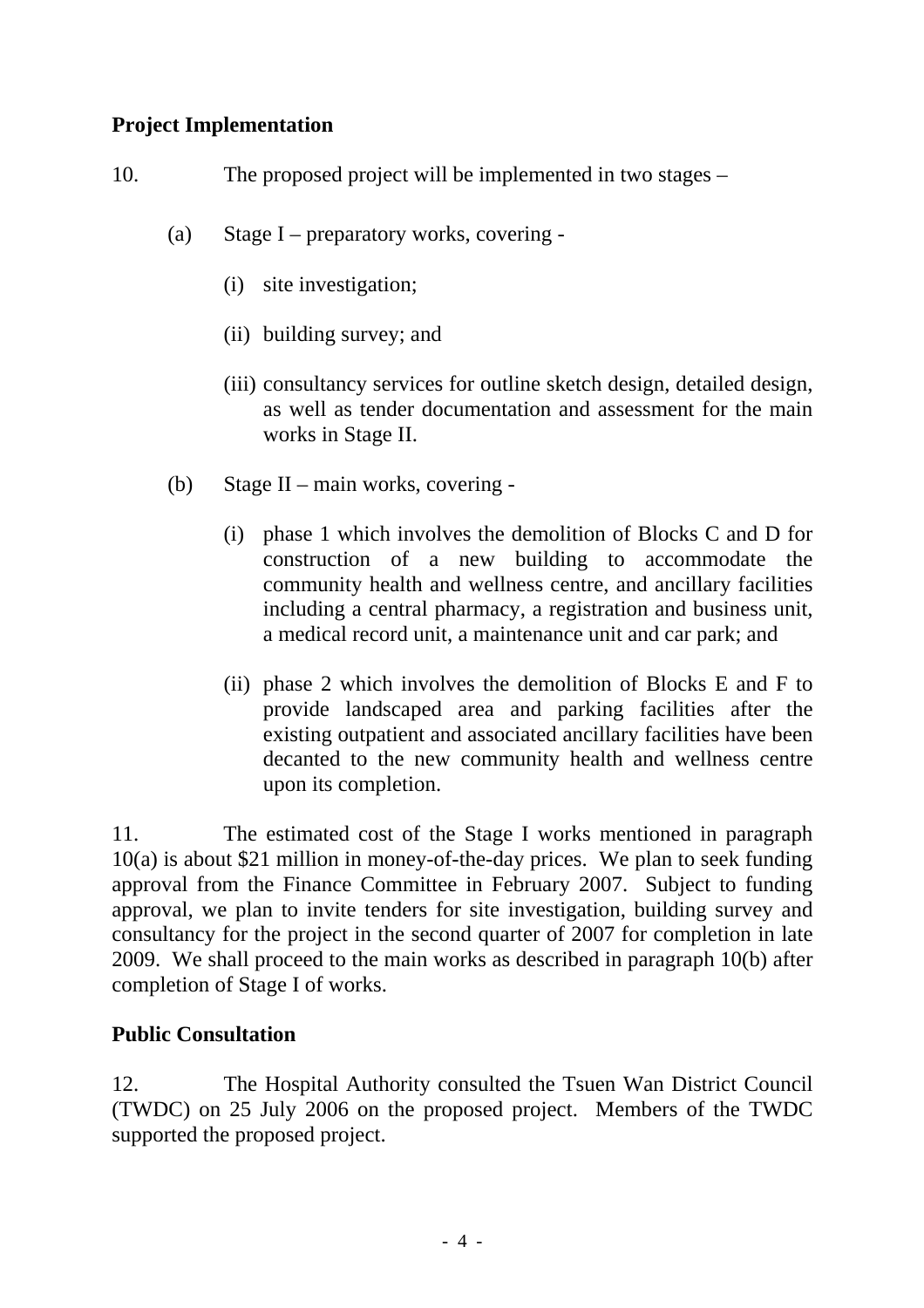# **Project Implementation**

10. The proposed project will be implemented in two stages –

- (a) Stage I preparatory works, covering
	- (i) site investigation;
	- (ii) building survey; and
	- (iii) consultancy services for outline sketch design, detailed design, as well as tender documentation and assessment for the main works in Stage II.
- (b) Stage II main works, covering
	- (i) phase 1 which involves the demolition of Blocks C and D for construction of a new building to accommodate the community health and wellness centre, and ancillary facilities including a central pharmacy, a registration and business unit, a medical record unit, a maintenance unit and car park; and
	- (ii) phase 2 which involves the demolition of Blocks E and F to provide landscaped area and parking facilities after the existing outpatient and associated ancillary facilities have been decanted to the new community health and wellness centre upon its completion.

11. The estimated cost of the Stage I works mentioned in paragraph 10(a) is about \$21 million in money-of-the-day prices. We plan to seek funding approval from the Finance Committee in February 2007. Subject to funding approval, we plan to invite tenders for site investigation, building survey and consultancy for the project in the second quarter of 2007 for completion in late 2009. We shall proceed to the main works as described in paragraph 10(b) after completion of Stage I of works.

# **Public Consultation**

12. The Hospital Authority consulted the Tsuen Wan District Council (TWDC) on 25 July 2006 on the proposed project. Members of the TWDC supported the proposed project.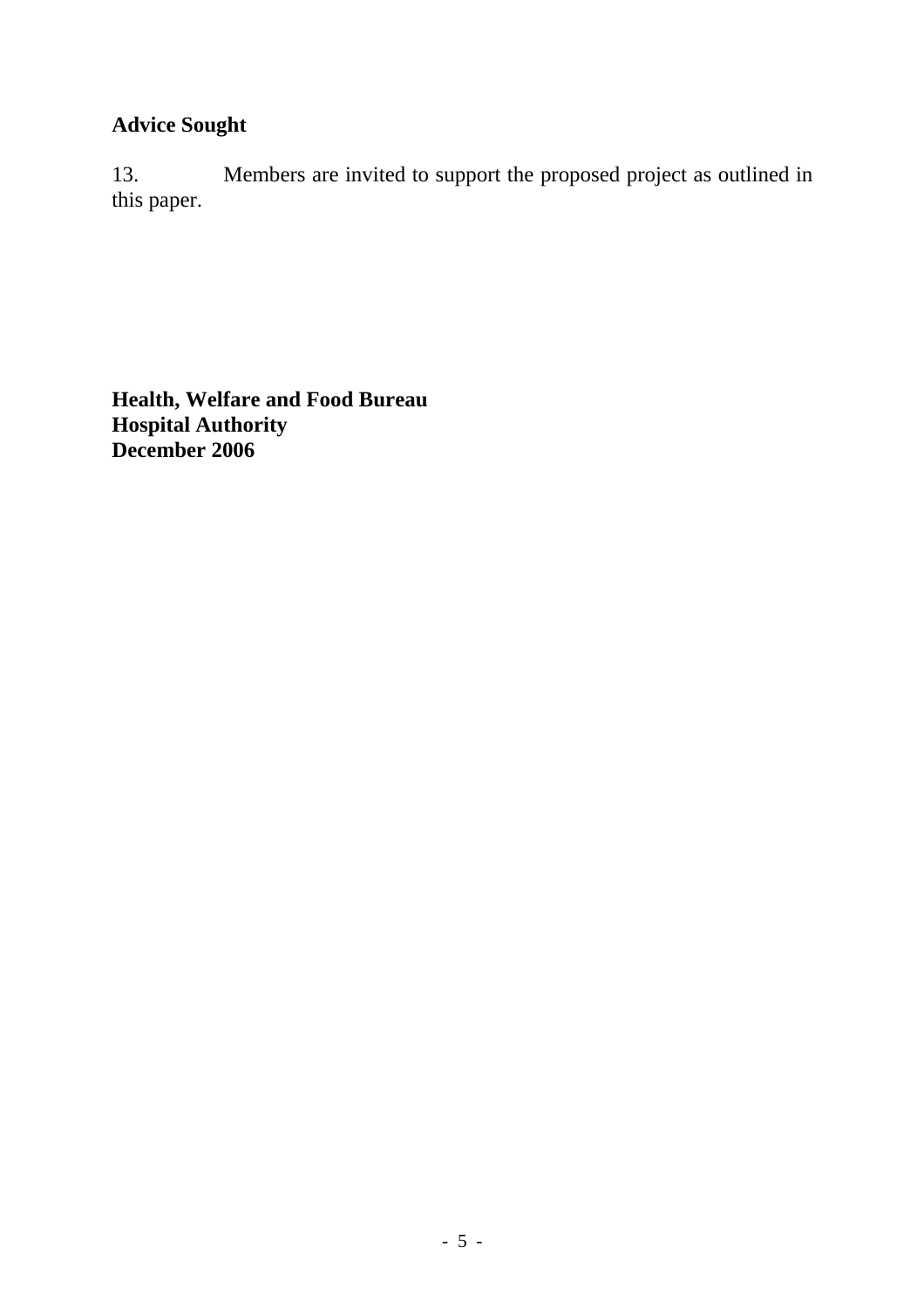# **Advice Sought**

13. Members are invited to support the proposed project as outlined in this paper.

**Health, Welfare and Food Bureau Hospital Authority December 2006**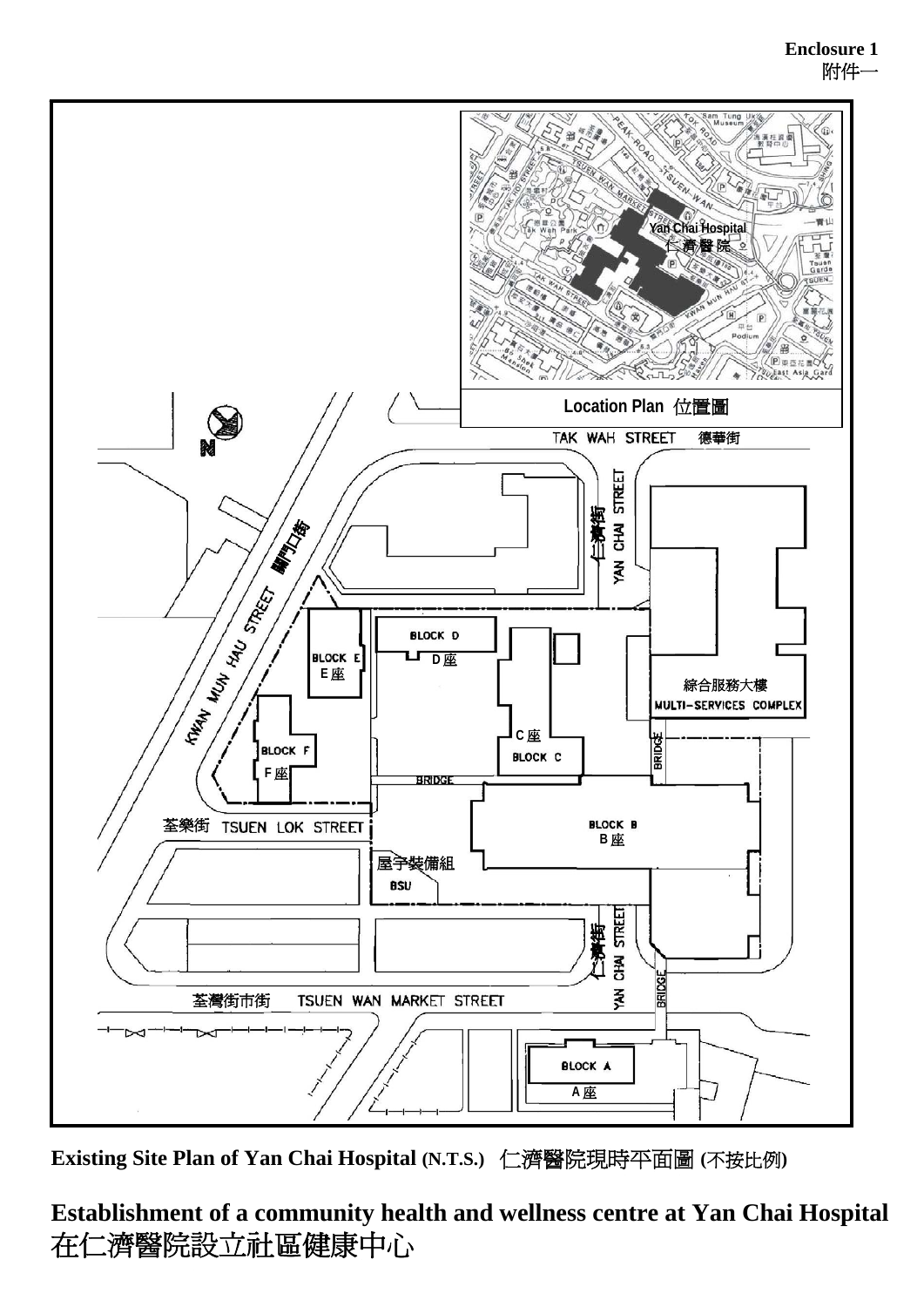

**Existing Site Plan of Yan Chai Hospital (N.T.S.)** 仁濟醫院現時平面圖 **(**不按比例**)**

# **Establishment of a community health and wellness centre at Yan Chai Hospital**  在仁濟醫院設立社區健康中心